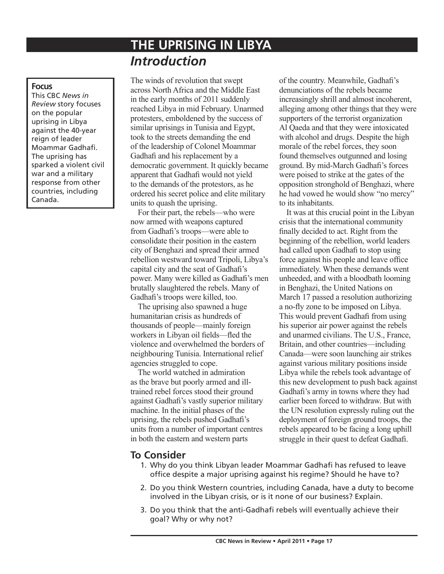# **THE UPRISING IN LIBYA** *Introduction*

#### **Focus**

This CBC *News in Review* story focuses on the popular uprising in Libya against the 40-year reign of leader Moammar Gadhafi. The uprising has sparked a violent civil war and a military response from other countries, including Canada.

The winds of revolution that swept across North Africa and the Middle East in the early months of 2011 suddenly reached Libya in mid February. Unarmed protesters, emboldened by the success of similar uprisings in Tunisia and Egypt, took to the streets demanding the end of the leadership of Colonel Moammar Gadhafi and his replacement by a democratic government. It quickly became apparent that Gadhafi would not yield to the demands of the protestors, as he ordered his secret police and elite military units to quash the uprising.

For their part, the rebels—who were now armed with weapons captured from Gadhafi's troops—were able to consolidate their position in the eastern city of Benghazi and spread their armed rebellion westward toward Tripoli, Libya's capital city and the seat of Gadhafi's power. Many were killed as Gadhafi's men brutally slaughtered the rebels. Many of Gadhafi's troops were killed, too.

The uprising also spawned a huge humanitarian crisis as hundreds of thousands of people—mainly foreign workers in Libyan oil fields—fled the violence and overwhelmed the borders of neighbouring Tunisia. International relief agencies struggled to cope.

The world watched in admiration as the brave but poorly armed and illtrained rebel forces stood their ground against Gadhafi's vastly superior military machine. In the initial phases of the uprising, the rebels pushed Gadhafi's units from a number of important centres in both the eastern and western parts

of the country. Meanwhile, Gadhafi's denunciations of the rebels became increasingly shrill and almost incoherent, alleging among other things that they were supporters of the terrorist organization Al Qaeda and that they were intoxicated with alcohol and drugs. Despite the high morale of the rebel forces, they soon found themselves outgunned and losing ground. By mid-March Gadhafi's forces were poised to strike at the gates of the opposition stronghold of Benghazi, where he had vowed he would show "no mercy" to its inhabitants.

It was at this crucial point in the Libyan crisis that the international community finally decided to act. Right from the beginning of the rebellion, world leaders had called upon Gadhafi to stop using force against his people and leave office immediately. When these demands went unheeded, and with a bloodbath looming in Benghazi, the United Nations on March 17 passed a resolution authorizing a no-fly zone to be imposed on Libya. This would prevent Gadhafi from using his superior air power against the rebels and unarmed civilians. The U.S., France, Britain, and other countries—including Canada—were soon launching air strikes against various military positions inside Libya while the rebels took advantage of this new development to push back against Gadhafi's army in towns where they had earlier been forced to withdraw. But with the UN resolution expressly ruling out the deployment of foreign ground troops, the rebels appeared to be facing a long uphill struggle in their quest to defeat Gadhafi.

# **To Consider**

- 1. Why do you think Libyan leader Moammar Gadhafi has refused to leave office despite a major uprising against his regime? Should he have to?
- 2. Do you think Western countries, including Canada, have a duty to become involved in the Libyan crisis, or is it none of our business? Explain.
- 3. Do you think that the anti-Gadhafi rebels will eventually achieve their goal? Why or why not?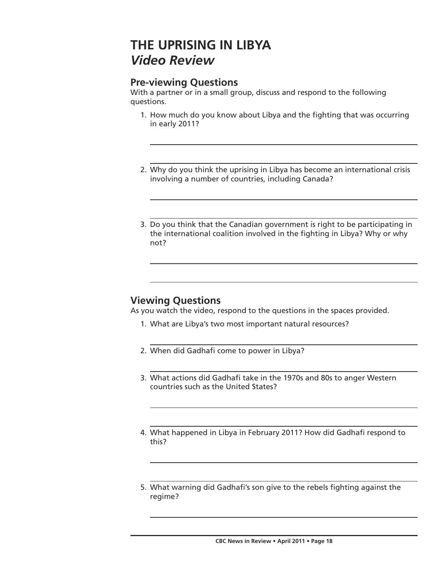# **THE UPRISING IN LIBYA** *Video Review*

# **Pre-viewing Questions**

With a partner or in a small group, discuss and respond to the following questions.

- 1. How much do you know about Libya and the fighting that was occurring in early 2011?
- 2. Why do you think the uprising in Libya has become an international crisis involving a number of countries, including Canada?
- 3. Do you think that the Canadian government is right to be participating in the international coalition involved in the fighting in Libya? Why or why not?

# **Viewing Questions**

As you watch the video, respond to the questions in the spaces provided.

- 1. What are Libya's two most important natural resources?
- 2. When did Gadhafi come to power in Libya?
- 3. What actions did Gadhafi take in the 1970s and 80s to anger Western countries such as the United States?
- 4. What happened in Libya in February 2011? How did Gadhafi respond to this?
- 5. What warning did Gadhafi's son give to the rebels fighting against the regime?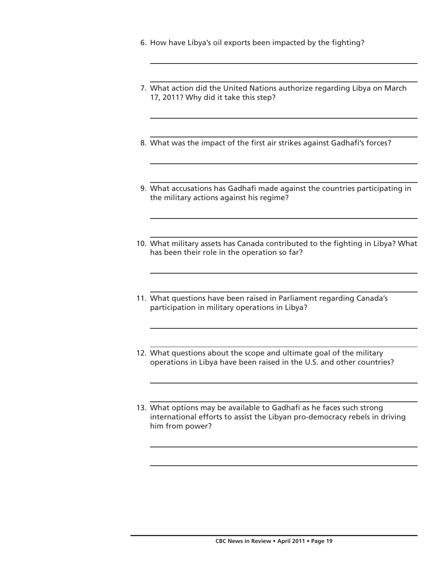- 6. How have Libya's oil exports been impacted by the fighting?
- 7. What action did the United Nations authorize regarding Libya on March 17, 2011? Why did it take this step?
- 8. What was the impact of the first air strikes against Gadhafi's forces?
- 9. What accusations has Gadhafi made against the countries participating in the military actions against his regime?
- 10. What military assets has Canada contributed to the fighting in Libya? What has been their role in the operation so far?
- 11. What questions have been raised in Parliament regarding Canada's participation in military operations in Libya?
- 12. What questions about the scope and ultimate goal of the military operations in Libya have been raised in the U.S. and other countries?
- 13. What options may be available to Gadhafi as he faces such strong international efforts to assist the Libyan pro-democracy rebels in driving him from power?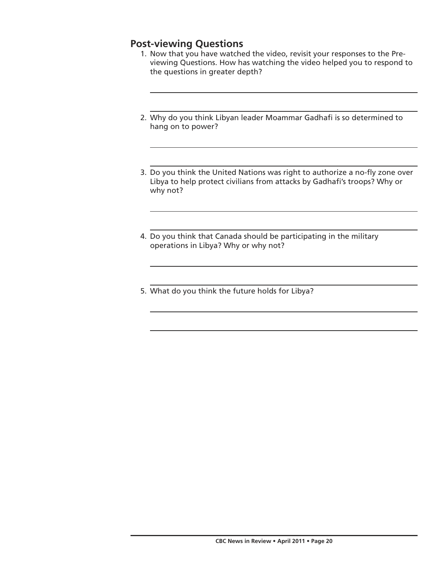# **Post-viewing Questions**

- 1. Now that you have watched the video, revisit your responses to the Previewing Questions. How has watching the video helped you to respond to the questions in greater depth?
- 2. Why do you think Libyan leader Moammar Gadhafi is so determined to hang on to power?
- 3. Do you think the United Nations was right to authorize a no-fly zone over Libya to help protect civilians from attacks by Gadhafi's troops? Why or why not?
- 4. Do you think that Canada should be participating in the military operations in Libya? Why or why not?
- 5. What do you think the future holds for Libya?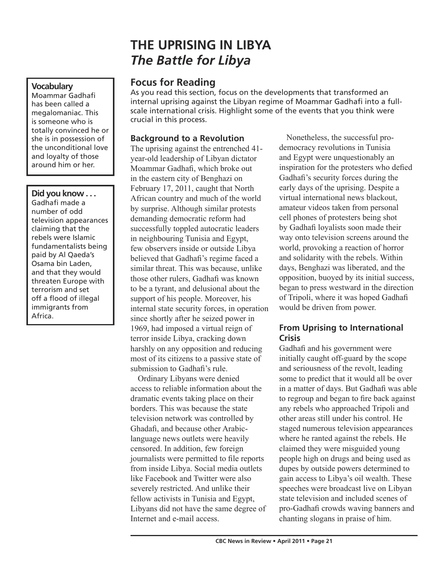# **THE UPRISING IN LIBYA** *The Battle for Libya*

# **Focus for Reading**

As you read this section, focus on the developments that transformed an internal uprising against the Libyan regime of Moammar Gadhafi into a fullscale international crisis. Highlight some of the events that you think were crucial in this process.

### **Background to a Revolution**

The uprising against the entrenched 41 year-old leadership of Libyan dictator Moammar Gadhafi, which broke out in the eastern city of Benghazi on February 17, 2011, caught that North African country and much of the world by surprise. Although similar protests demanding democratic reform had successfully toppled autocratic leaders in neighbouring Tunisia and Egypt, few observers inside or outside Libya believed that Gadhafi's regime faced a similar threat. This was because, unlike those other rulers, Gadhafi was known to be a tyrant, and delusional about the support of his people. Moreover, his internal state security forces, in operation since shortly after he seized power in 1969, had imposed a virtual reign of terror inside Libya, cracking down harshly on any opposition and reducing most of its citizens to a passive state of submission to Gadhafi's rule.

Ordinary Libyans were denied access to reliable information about the dramatic events taking place on their borders. This was because the state television network was controlled by Ghadafi, and because other Arabiclanguage news outlets were heavily censored. In addition, few foreign journalists were permitted to file reports from inside Libya. Social media outlets like Facebook and Twitter were also severely restricted. And unlike their fellow activists in Tunisia and Egypt, Libyans did not have the same degree of Internet and e-mail access.

Nonetheless, the successful prodemocracy revolutions in Tunisia and Egypt were unquestionably an inspiration for the protesters who defied Gadhafi's security forces during the early days of the uprising. Despite a virtual international news blackout, amateur videos taken from personal cell phones of protesters being shot by Gadhafi loyalists soon made their way onto television screens around the world, provoking a reaction of horror and solidarity with the rebels. Within days, Benghazi was liberated, and the opposition, buoyed by its initial success, began to press westward in the direction of Tripoli, where it was hoped Gadhafi would be driven from power.

# **From Uprising to International Crisis**

Gadhafi and his government were initially caught off-guard by the scope and seriousness of the revolt, leading some to predict that it would all be over in a matter of days. But Gadhafi was able to regroup and began to fire back against any rebels who approached Tripoli and other areas still under his control. He staged numerous television appearances where he ranted against the rebels. He claimed they were misguided young people high on drugs and being used as dupes by outside powers determined to gain access to Libya's oil wealth. These speeches were broadcast live on Libyan state television and included scenes of pro-Gadhafi crowds waving banners and chanting slogans in praise of him.

### **Vocabulary**

Moammar Gadhafi has been called a megalomaniac. This is someone who is totally convinced he or she is in possession of the unconditional love and loyalty of those around him or her.

### **Did you know . . .**

Gadhafi made a number of odd television appearances claiming that the rebels were Islamic fundamentalists being paid by Al Qaeda's Osama bin Laden, and that they would threaten Europe with terrorism and set off a flood of illegal immigrants from Africa.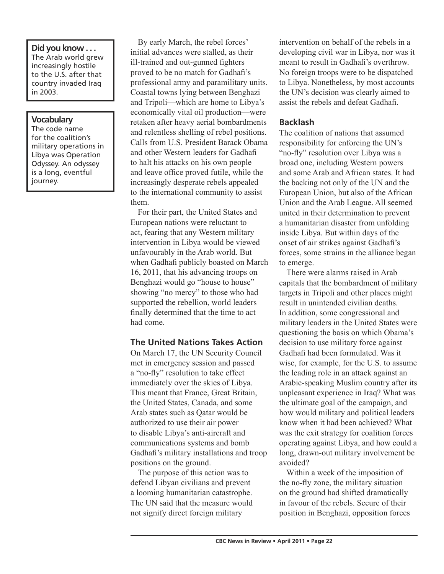#### **Did you know . . .** The Arab world grew increasingly hostile to the U.S. after that country invaded Iraq in 2003.

#### **Vocabulary**

The code name for the coalition's military operations in Libya was Operation Odyssey. An odyssey is a long, eventful journey.

By early March, the rebel forces' initial advances were stalled, as their ill-trained and out-gunned fighters proved to be no match for Gadhafi's professional army and paramilitary units. Coastal towns lying between Benghazi and Tripoli—which are home to Libya's economically vital oil production—were retaken after heavy aerial bombardments and relentless shelling of rebel positions. Calls from U.S. President Barack Obama and other Western leaders for Gadhafi to halt his attacks on his own people and leave office proved futile, while the increasingly desperate rebels appealed to the international community to assist them.

For their part, the United States and European nations were reluctant to act, fearing that any Western military intervention in Libya would be viewed unfavourably in the Arab world. But when Gadhafi publicly boasted on March 16, 2011, that his advancing troops on Benghazi would go "house to house" showing "no mercy" to those who had supported the rebellion, world leaders finally determined that the time to act had come.

### **The United Nations Takes Action**

On March 17, the UN Security Council met in emergency session and passed a "no-fly" resolution to take effect immediately over the skies of Libya. This meant that France, Great Britain, the United States, Canada, and some Arab states such as Qatar would be authorized to use their air power to disable Libya's anti-aircraft and communications systems and bomb Gadhafi's military installations and troop positions on the ground.

The purpose of this action was to defend Libyan civilians and prevent a looming humanitarian catastrophe. The UN said that the measure would not signify direct foreign military

intervention on behalf of the rebels in a developing civil war in Libya, nor was it meant to result in Gadhafi's overthrow. No foreign troops were to be dispatched to Libya. Nonetheless, by most accounts the UN's decision was clearly aimed to assist the rebels and defeat Gadhafi.

### **Backlash**

The coalition of nations that assumed responsibility for enforcing the UN's "no-fly" resolution over Libya was a broad one, including Western powers and some Arab and African states. It had the backing not only of the UN and the European Union, but also of the African Union and the Arab League. All seemed united in their determination to prevent a humanitarian disaster from unfolding inside Libya. But within days of the onset of air strikes against Gadhafi's forces, some strains in the alliance began to emerge.

There were alarms raised in Arab capitals that the bombardment of military targets in Tripoli and other places might result in unintended civilian deaths. In addition, some congressional and military leaders in the United States were questioning the basis on which Obama's decision to use military force against Gadhafi had been formulated. Was it wise, for example, for the U.S. to assume the leading role in an attack against an Arabic-speaking Muslim country after its unpleasant experience in Iraq? What was the ultimate goal of the campaign, and how would military and political leaders know when it had been achieved? What was the exit strategy for coalition forces operating against Libya, and how could a long, drawn-out military involvement be avoided?

Within a week of the imposition of the no-fly zone, the military situation on the ground had shifted dramatically in favour of the rebels. Secure of their position in Benghazi, opposition forces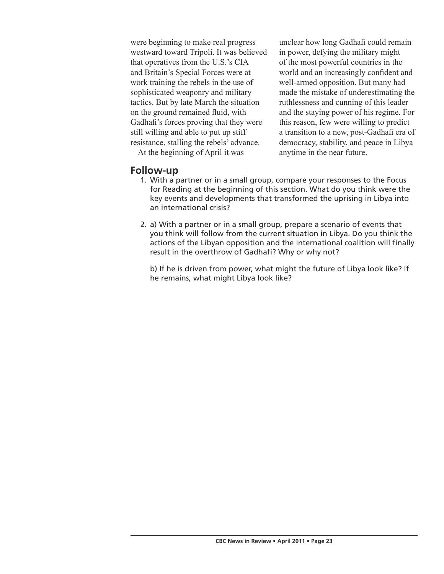were beginning to make real progress westward toward Tripoli. It was believed that operatives from the U.S.'s CIA and Britain's Special Forces were at work training the rebels in the use of sophisticated weaponry and military tactics. But by late March the situation on the ground remained fluid, with Gadhafi's forces proving that they were still willing and able to put up stiff resistance, stalling the rebels' advance.

At the beginning of April it was

### **Follow-up**

unclear how long Gadhafi could remain in power, defying the military might of the most powerful countries in the world and an increasingly confident and well-armed opposition. But many had made the mistake of underestimating the ruthlessness and cunning of this leader and the staying power of his regime. For this reason, few were willing to predict a transition to a new, post-Gadhafi era of democracy, stability, and peace in Libya anytime in the near future.

- 1. With a partner or in a small group, compare your responses to the Focus for Reading at the beginning of this section. What do you think were the key events and developments that transformed the uprising in Libya into an international crisis?
- 2. a) With a partner or in a small group, prepare a scenario of events that you think will follow from the current situation in Libya. Do you think the actions of the Libyan opposition and the international coalition will finally result in the overthrow of Gadhafi? Why or why not?

 b) If he is driven from power, what might the future of Libya look like? If he remains, what might Libya look like?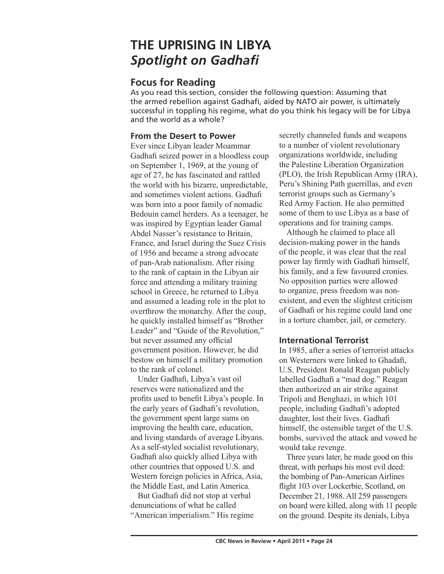# **THE UPRISING IN LIBYA** *Spotlight on Gadhafi*

# **Focus for Reading**

As you read this section, consider the following question: Assuming that the armed rebellion against Gadhafi, aided by NATO air power, is ultimately successful in toppling his regime, what do you think his legacy will be for Libya and the world as a whole?

### **From the Desert to Power**

Ever since Libyan leader Moammar Gadhafi seized power in a bloodless coup on September 1, 1969, at the young of age of 27, he has fascinated and rattled the world with his bizarre, unpredictable, and sometimes violent actions. Gadhafi was born into a poor family of nomadic Bedouin camel herders. As a teenager, he was inspired by Egyptian leader Gamal Abdel Nasser's resistance to Britain, France, and Israel during the Suez Crisis of 1956 and became a strong advocate of pan-Arab nationalism. After rising to the rank of captain in the Libyan air force and attending a military training school in Greece, he returned to Libya and assumed a leading role in the plot to overthrow the monarchy. After the coup, he quickly installed himself as "Brother Leader" and "Guide of the Revolution," but never assumed any official government position. However, he did bestow on himself a military promotion to the rank of colonel.

Under Gadhafi, Libya's vast oil reserves were nationalized and the profits used to benefit Libya's people. In the early years of Gadhafi's revolution, the government spent large sums on improving the health care, education, and living standards of average Libyans. As a self-styled socialist revolutionary, Gadhafi also quickly allied Libya with other countries that opposed U.S. and Western foreign policies in Africa, Asia, the Middle East, and Latin America.

But Gadhafi did not stop at verbal denunciations of what he called "American imperialism." His regime secretly channeled funds and weapons to a number of violent revolutionary organizations worldwide, including the Palestine Liberation Organization (PLO), the Irish Republican Army (IRA), Peru's Shining Path guerrillas, and even terrorist groups such as Germany's Red Army Faction. He also permitted some of them to use Libya as a base of operations and for training camps.

Although he claimed to place all decision-making power in the hands of the people, it was clear that the real power lay firmly with Gadhafi himself, his family, and a few favoured cronies. No opposition parties were allowed to organize, press freedom was nonexistent, and even the slightest criticism of Gadhafi or his regime could land one in a torture chamber, jail, or cemetery.

## **International Terrorist**

In 1985, after a series of terrorist attacks on Westerners were linked to Ghadafi, U.S. President Ronald Reagan publicly labelled Gadhafi a "mad dog." Reagan then authorized an air strike against Tripoli and Benghazi, in which 101 people, including Gadhafi's adopted daughter, lost their lives. Gadhafi himself, the ostensible target of the U.S. bombs, survived the attack and vowed he would take revenge.

Three years later, he made good on this threat, with perhaps his most evil deed: the bombing of Pan-American Airlines flight 103 over Lockerbie, Scotland, on December 21, 1988. All 259 passengers on board were killed, along with 11 people on the ground. Despite its denials, Libya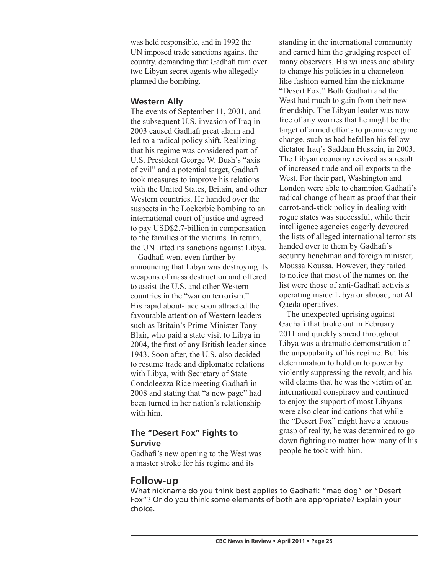was held responsible, and in 1992 the UN imposed trade sanctions against the country, demanding that Gadhafi turn over two Libyan secret agents who allegedly planned the bombing.

### **Western Ally**

The events of September 11, 2001, and the subsequent U.S. invasion of Iraq in 2003 caused Gadhafi great alarm and led to a radical policy shift. Realizing that his regime was considered part of U.S. President George W. Bush's "axis of evil" and a potential target, Gadhafi took measures to improve his relations with the United States, Britain, and other Western countries. He handed over the suspects in the Lockerbie bombing to an international court of justice and agreed to pay USD\$2.7-billion in compensation to the families of the victims. In return, the UN lifted its sanctions against Libya.

Gadhafi went even further by announcing that Libya was destroying its weapons of mass destruction and offered to assist the U.S. and other Western countries in the "war on terrorism." His rapid about-face soon attracted the favourable attention of Western leaders such as Britain's Prime Minister Tony Blair, who paid a state visit to Libya in 2004, the first of any British leader since 1943. Soon after, the U.S. also decided to resume trade and diplomatic relations with Libya, with Secretary of State Condoleezza Rice meeting Gadhafi in 2008 and stating that "a new page" had been turned in her nation's relationship with him.

## **The "Desert Fox" Fights to Survive**

Gadhafi's new opening to the West was a master stroke for his regime and its

standing in the international community and earned him the grudging respect of many observers. His wiliness and ability to change his policies in a chameleonlike fashion earned him the nickname "Desert Fox." Both Gadhafi and the West had much to gain from their new friendship. The Libyan leader was now free of any worries that he might be the target of armed efforts to promote regime change, such as had befallen his fellow dictator Iraq's Saddam Hussein, in 2003. The Libyan economy revived as a result of increased trade and oil exports to the West. For their part, Washington and London were able to champion Gadhafi's radical change of heart as proof that their carrot-and-stick policy in dealing with rogue states was successful, while their intelligence agencies eagerly devoured the lists of alleged international terrorists handed over to them by Gadhafi's security henchman and foreign minister, Moussa Koussa. However, they failed to notice that most of the names on the list were those of anti-Gadhafi activists operating inside Libya or abroad, not Al Qaeda operatives.

The unexpected uprising against Gadhafi that broke out in February 2011 and quickly spread throughout Libya was a dramatic demonstration of the unpopularity of his regime. But his determination to hold on to power by violently suppressing the revolt, and his wild claims that he was the victim of an international conspiracy and continued to enjoy the support of most Libyans were also clear indications that while the "Desert Fox" might have a tenuous grasp of reality, he was determined to go down fighting no matter how many of his people he took with him.

# **Follow-up**

What nickname do you think best applies to Gadhafi: "mad dog" or "Desert Fox"? Or do you think some elements of both are appropriate? Explain your choice.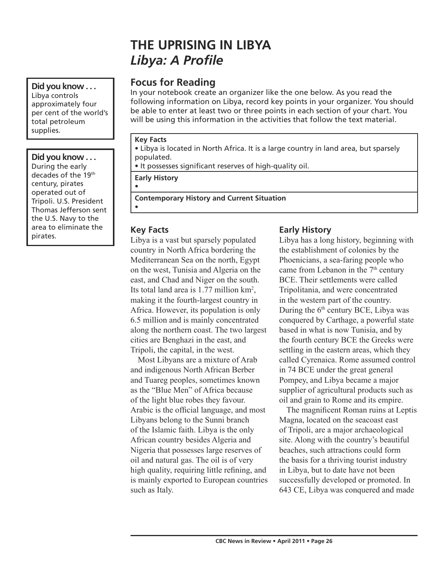# **THE UPRISING IN LIBYA** *Libya: A Profile*

# **Focus for Reading**

In your notebook create an organizer like the one below. As you read the following information on Libya, record key points in your organizer. You should be able to enter at least two or three points in each section of your chart. You will be using this information in the activities that follow the text material.

#### **Key Facts**

•

•

• Libya is located in North Africa. It is a large country in land area, but sparsely populated.

• It possesses significant reserves of high-quality oil.

**Early History**

**Contemporary History and Current Situation**

### **Key Facts**

area to eliminate the **Key Facts Early History**<br>
Libya is a vast but sparsely populated Libya has a long country in North Africa bordering the Mediterranean Sea on the north, Egypt on the west, Tunisia and Algeria on the east, and Chad and Niger on the south. Its total land area is  $1.77$  million  $\text{km}^2$ , making it the fourth-largest country in Africa. However, its population is only 6.5 million and is mainly concentrated along the northern coast. The two largest cities are Benghazi in the east, and Tripoli, the capital, in the west.

> Most Libyans are a mixture of Arab and indigenous North African Berber and Tuareg peoples, sometimes known as the "Blue Men" of Africa because of the light blue robes they favour. Arabic is the official language, and most Libyans belong to the Sunni branch of the Islamic faith. Libya is the only African country besides Algeria and Nigeria that possesses large reserves of oil and natural gas. The oil is of very high quality, requiring little refining, and is mainly exported to European countries such as Italy.

Libya has a long history, beginning with the establishment of colonies by the Phoenicians, a sea-faring people who came from Lebanon in the  $7<sup>th</sup>$  century BCE. Their settlements were called Tripolitania, and were concentrated in the western part of the country. During the  $6<sup>th</sup>$  century BCE, Libya was conquered by Carthage, a powerful state based in what is now Tunisia, and by the fourth century BCE the Greeks were settling in the eastern areas, which they called Cyrenaica. Rome assumed control in 74 BCE under the great general Pompey, and Libya became a major supplier of agricultural products such as oil and grain to Rome and its empire.

The magnificent Roman ruins at Leptis Magna, located on the seacoast east of Tripoli, are a major archaeological site. Along with the country's beautiful beaches, such attractions could form the basis for a thriving tourist industry in Libya, but to date have not been successfully developed or promoted. In 643 CE, Libya was conquered and made

per cent of the world's total petroleum supplies. **Did you know . . .**

**Did you know . . .** Libya controls approximately four

During the early decades of the 19th century, pirates operated out of Tripoli. U.S. President Thomas Jefferson sent the U.S. Navy to the area to eliminate the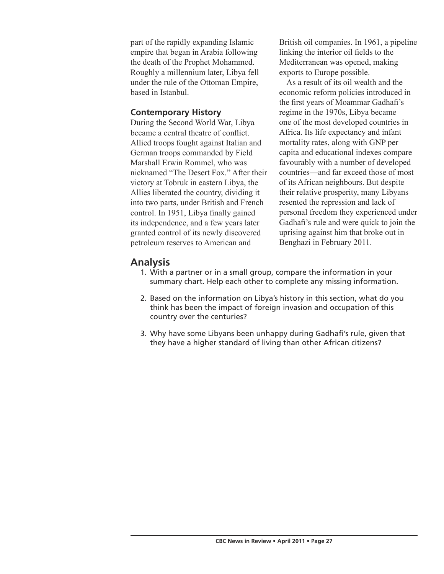part of the rapidly expanding Islamic empire that began in Arabia following the death of the Prophet Mohammed. Roughly a millennium later, Libya fell under the rule of the Ottoman Empire, based in Istanbul.

### **Contemporary History**

During the Second World War, Libya became a central theatre of conflict. Allied troops fought against Italian and German troops commanded by Field Marshall Erwin Rommel, who was nicknamed "The Desert Fox." After their victory at Tobruk in eastern Libya, the Allies liberated the country, dividing it into two parts, under British and French control. In 1951, Libya finally gained its independence, and a few years later granted control of its newly discovered petroleum reserves to American and

British oil companies. In 1961, a pipeline linking the interior oil fields to the Mediterranean was opened, making exports to Europe possible.

As a result of its oil wealth and the economic reform policies introduced in the first years of Moammar Gadhafi's regime in the 1970s, Libya became one of the most developed countries in Africa. Its life expectancy and infant mortality rates, along with GNP per capita and educational indexes compare favourably with a number of developed countries—and far exceed those of most of its African neighbours. But despite their relative prosperity, many Libyans resented the repression and lack of personal freedom they experienced under Gadhafi's rule and were quick to join the uprising against him that broke out in Benghazi in February 2011.

# **Analysis**

- 1. With a partner or in a small group, compare the information in your summary chart. Help each other to complete any missing information.
- 2. Based on the information on Libya's history in this section, what do you think has been the impact of foreign invasion and occupation of this country over the centuries?
- 3. Why have some Libyans been unhappy during Gadhafi's rule, given that they have a higher standard of living than other African citizens?